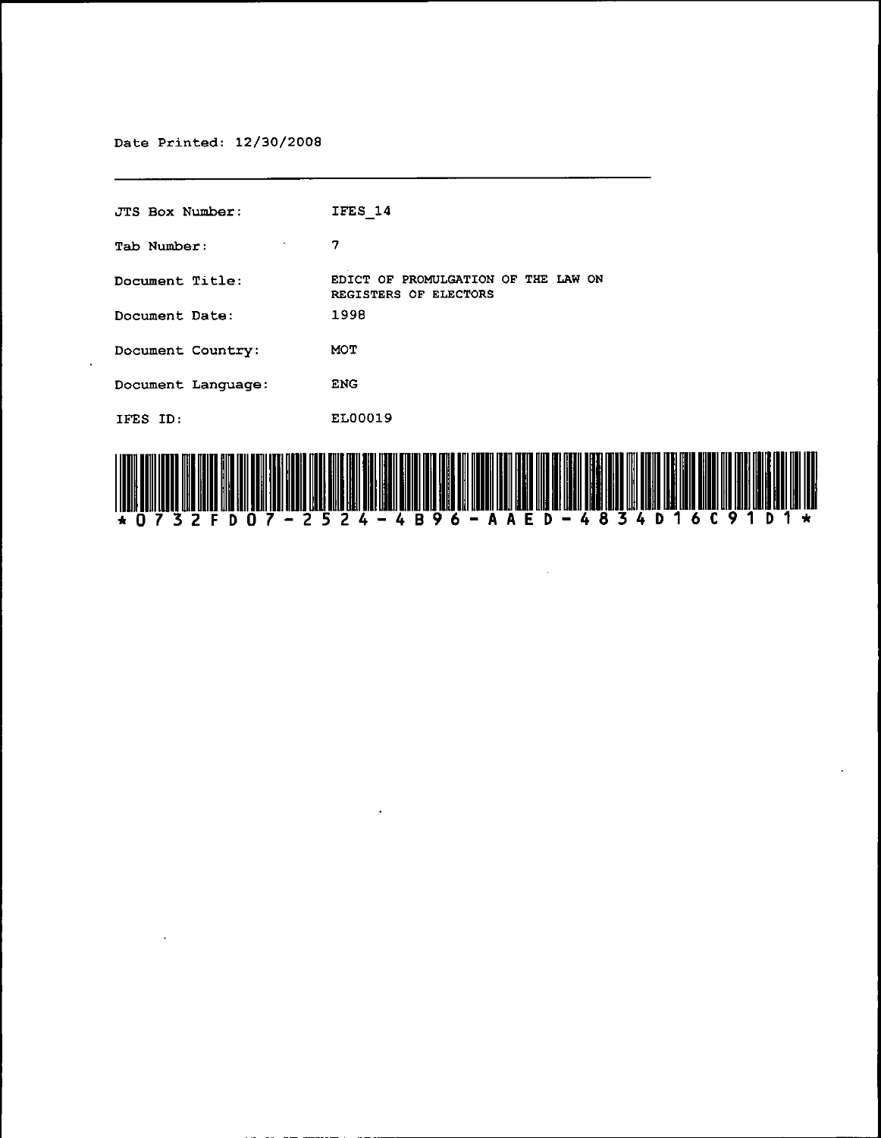Date Printed: 12/30/2008

 $\mathcal{L}$ 

0 7

D

JTS Box Number: Tab Number: **Document Title:**  EDICT OF PROMULGATION OF THE LAW ON **Document Date: Document Country: Document Language:**  ENG lFES 1D: 1FES 14 7 REGISTERS OF ELECTORS 1998 MOT EL00019

6.

AAED

 $\ddot{\phantom{a}}$ 

 $24 -$ 

25

4 B 9

4834D16C9

1 D 1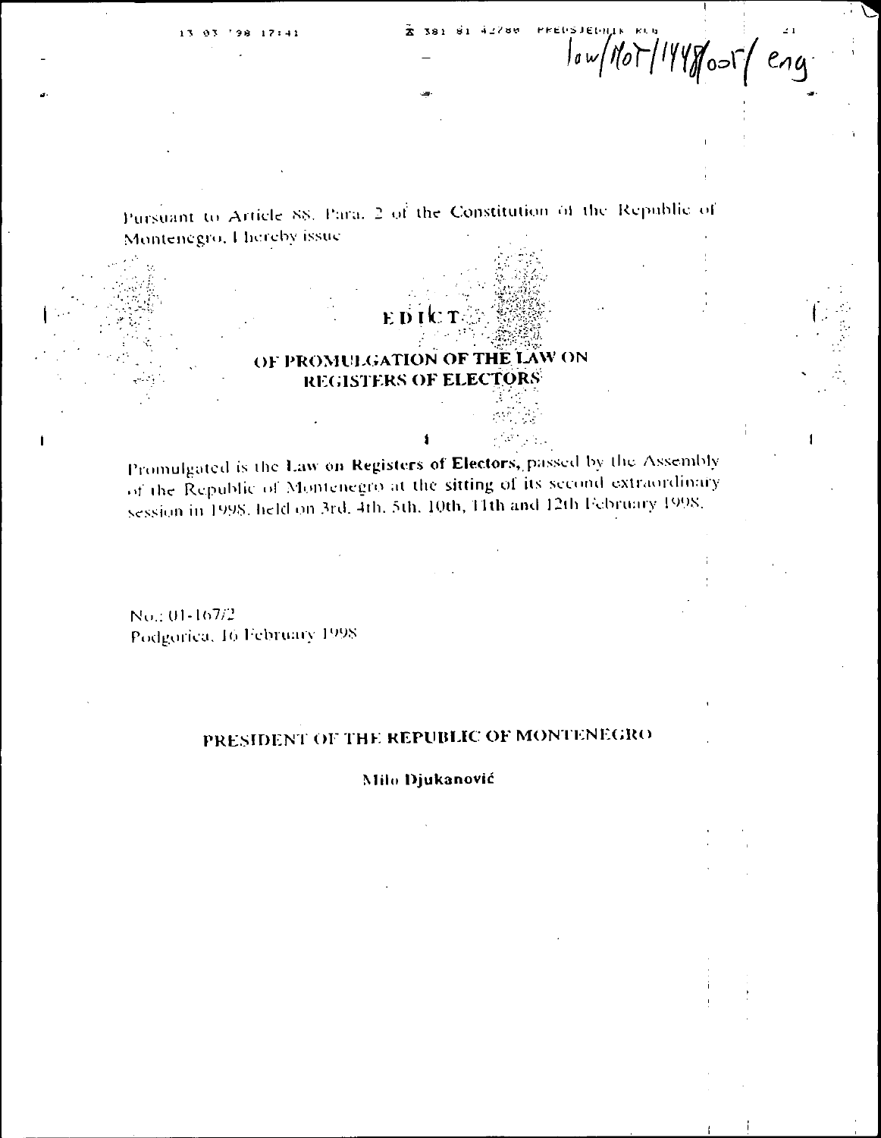Pursuant to Article 88. Para. 2 of the Constitution of the Republic of Montenegro, I hereby issue

EDI

# OF PROMULGATION OF THE LAW ON REGISTERS OF ELECTORS

Promulgated is the Law on Registers of Electors, passed by the Assembly of the Republic of Montenegro at the sitting of its second extraordinary session in 1998, held on 3rd, 4th, 5th, 10th, 11th and 12th February 1998.

No.: 01-167/2 Podgorica, 16 February 1998

# PRESIDENT OF THE REPUBLIC OF MONTENEGRO

#### Milo Djukanović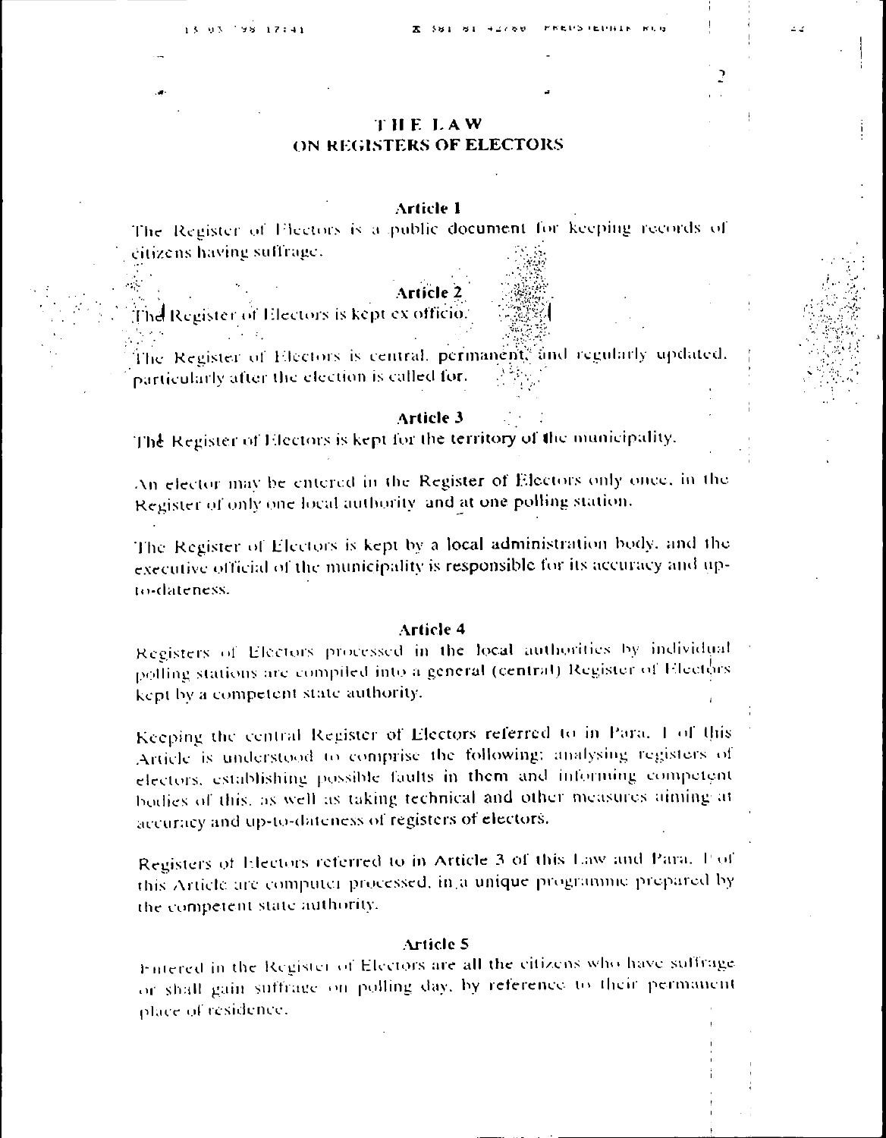# **THE LAW** ON REGISTERS OF ELECTORS

### **Article 1**

The Register of Flectors is a public document for keeping records of citizens having suffrage.

The Register of Electors is kept ex officio.

The Register of Electors is central, permanent<sup>®</sup> and regularly updated. particularly after the election is called for.

#### Article 3

The Register of Electors is kept for the territory of the municipality.

An elector may be entered in the Register of Electors only once, in the Register of only one local authority and at one polling station.

The Register of Electors is kept by a local administration body, and the executive official of the municipality is responsible for its accuracy and upto-dateness.

#### Article 4

Registers of Electors processed in the local authorities by individual polling stations are compiled into a general (central) Register of Electors kept by a competent state authority.

Keeping the central Register of Electors referred to in Para. 1 of this Article is understood to comprise the following: analysing registers of electors, establishing possible faults in them and informing competent bodies of this, as well as taking technical and other measures aiming at accuracy and up-to-dateness of registers of electors.

Registers of Electors referred to in Article 3 of this Law and Para. For this Article are computer processed, in a unique programme prepared by the competent state authority.

#### **Article 5**

Fintered in the Register of Electors are all the citizens who have suffrage or shall gain suffrage on polling day, by reference to their permanent place of residence.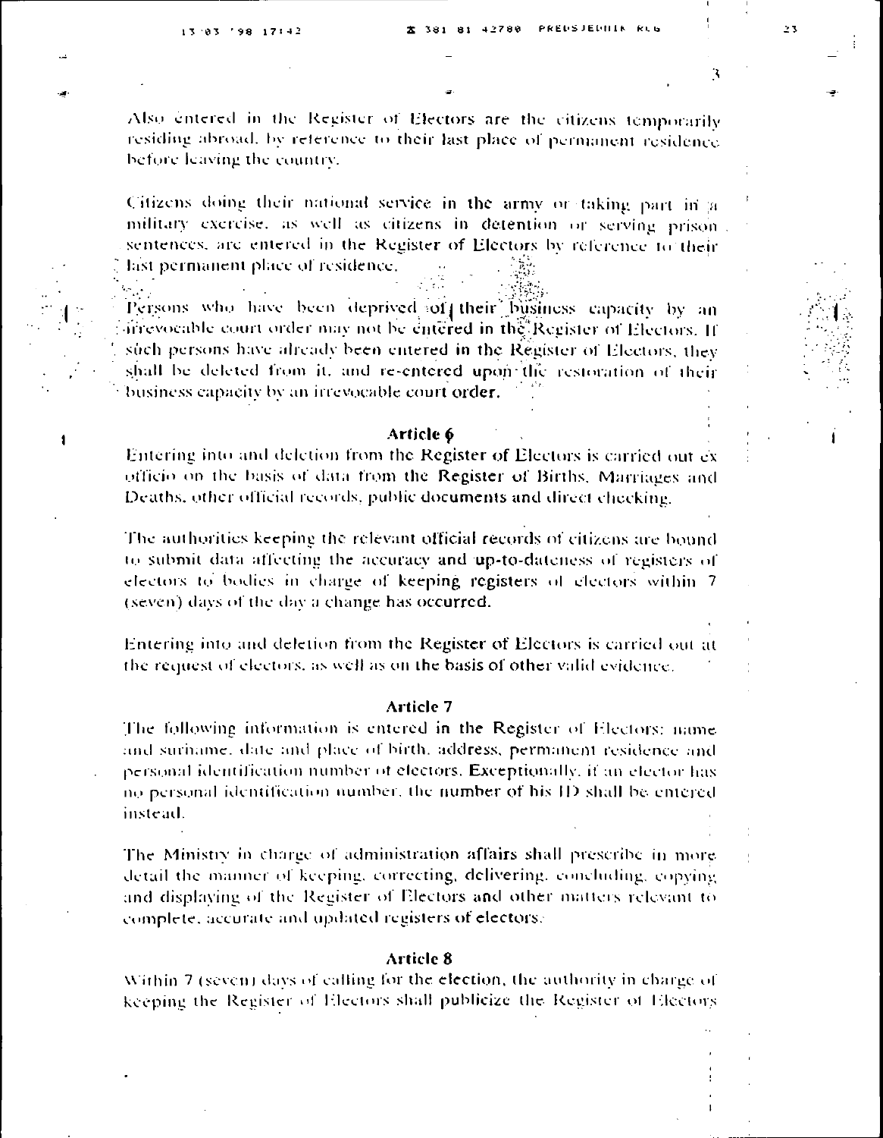1

Also entered in the Register of Electors are the citizens temporarily residing abroad, by reference to their last place of permanent residence before leaving the country.

Citizens doing their national service in the army or taking part in a military exercise, as well as citizens in detention or serving prison. sentences, are entered in the Register of Electors by reference to their last permanent place of residence.

Persons who have been deprived of their business capacity by an irrevocable court order may not be entered in the Register of Electors. If such persons have already been entered in the Register of Electors, they shall be deleted from it, and re-entered upon the restoration of their business capacity by an irrevocable court order.

#### Article 6

Entering into and deletion from the Register of Electors is carried out exofficio on the basis of data from the Register of Births, Marriages and Deaths, other official records, public documents and direct checking.

The authorities keeping the relevant official records of citizens are bound to submit data affecting the accuracy and up-to-dateness of registers of electors to bodies in charge of keeping registers of electors within 7 (seven) days of the day a change has occurred.

Entering into and deletion from the Register of Electors is carried out at the request of electors, as well as on the basis of other valid evidence.

#### Article 7

The following information is entered in the Register of Electors: name and suriname, date and place of birth, address, permanent residence and personal identification number of electors. Exceptionally, if an elector has no personal identification number, the number of his ID shall be entered instead.

The Ministry in charge of administration affairs shall prescribe in more detail the manner of keeping, correcting, delivering, concluding, copying and displaying of the Register of Electors and other matters relevant to complete, accurate and updated registers of electors.

#### **Article 8**

Within 7 (seven) days of calling for the election, the authority in charge of keeping the Register of Electors shall publicize the Register of Electors

٦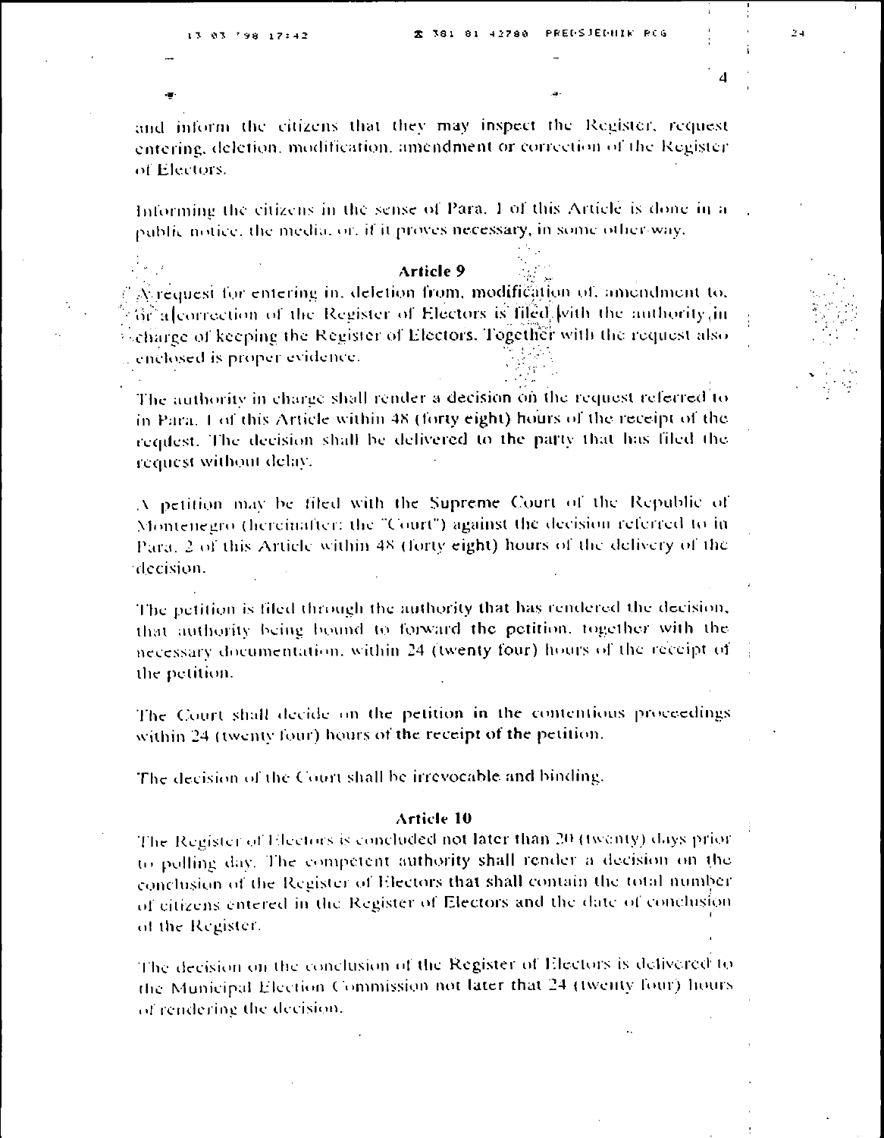and inform the citizens that they may inspect the Register, request entering, deletion, modification, amendment or correction of the Register of Electors.

Informing the citizens in the sense of Para. 1 of this Article is done in a public notice, the medial or, if it proves necessary, in some other way.

#### Article 9

A request for entering in, deletion from, modification of, amendment to, Gr alcorrection of the Register of Electors is filed with the authority in  $\frac{1}{2}$  charge of keeping the Register of Electors. Together with the request also enclosed is proper evidence.

The authority in charge shall render a decision on the request referred to in Para. 1 of this Article within 48 (forty eight) hours of the receipt of the request. The decision shall be delivered to the party that has filed the request without delay.

A petition may be filed with the Supreme Court of the Republic of Montenegro (hereinafter: the "Court") against the decision referred to in-Para. 2 of this Article within 48 (forty eight) hours of the delivery of the decision.

The petition is filed through the authority that has rendered the decision, that authority being bound to forward the petition, together with the necessary documentation, within 24 (twenty four) hours of the receipt of the petition.

The Court shall decide on the petition in the contentions proceedings within 24 (twenty four) hours of the receipt of the petition.

The decision of the Court shall be irrevocable and binding.

#### Article 10

The Register of Electors is concluded not later than 20 (twenty) days prior to polling day. The competent authority shall render a decision on the conclusion of the Register of Electors that shall contain the total number of citizens entered in the Register of Electors and the date of conclusion of the Register.

The decision on the conclusion of the Register of Electors is defivered to the Municipal Election Commission not later that 24 (twenty four) hours of rendering the decision.

 $\sim$   $\Delta$ 

 $\boldsymbol{A}$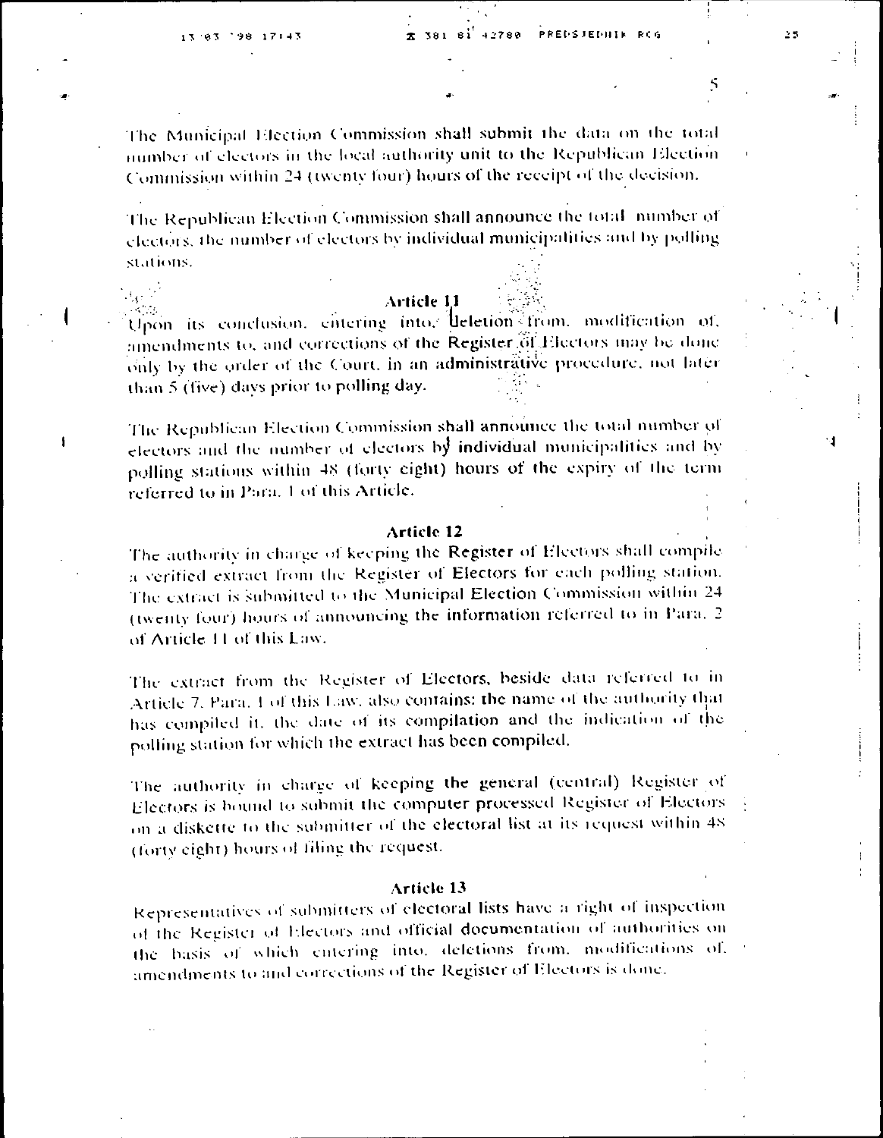$\lambda_{\rm C}$  is

 $\mathbf{I}$ 

The Municipal Election Commission shall submit the data on the total number of electors in the local authority unit to the Republican Election Commission within 24 (twenty four) hours of the receipt of the decision.

The Republican Election Commission shall announce the total number of electors, the number of electors by individual municipalities and by polling stations.

#### **Article 11**

Upon its conclusion, entering into, deletion from, modification of, amendments to, and corrections of the Register of Electors may be done only by the order of the Court, in an administrative procedure, not later than 5 (five) days prior to polling day.

The Republican Election Commission shall announce the total number of electors and the number of electors by individual municipalities and by polling stations within 48 (forty eight) hours of the expiry of the term referred to in Para. 1 of this Article.

#### Article 12

The authority in charge of keeping the Register of Electors shall compile a verified extract from the Register of Electors for each polling station. The extract is submitted to the Municipal Election Commission within 24 (twenty four) hours of announcing the information referred to in Para. 2 of Article 11 of this Law.

The extract from the Register of Electors, beside data referred to in Article 7, Para, 1 of this Law, also contains: the name of the authority that has compiled it, the date of its compilation and the indication of the polling station for which the extract has been compiled.

The authority in charge of keeping the general (central) Register of Electors is bound to submit the computer processed Register of Electors on a diskette to the submitter of the electoral list at its request within 48 (forty eight) hours of filing the request.

#### **Article 13**

Representatives of submitters of electoral lists have a right of inspection of the Register of Electors and official documentation of authorities on the basis of which entering into, defetions from, modifications of, amendments to and corrections of the Register of Electors is done.

4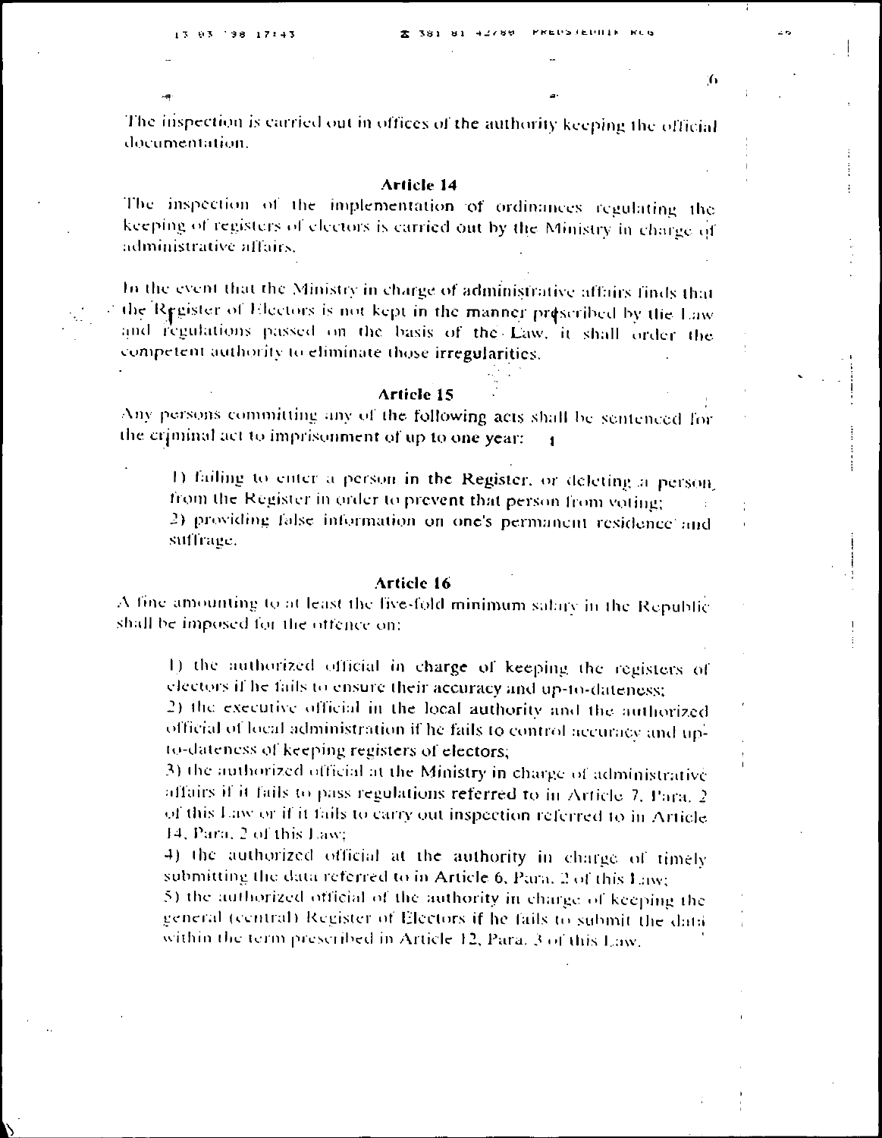7

The inspection is carried out in offices of the authority keeping the official documentation.

#### **Article 14**

The inspection of the implementation of ordinances regulating the keeping of registers of electors is carried out by the Ministry in charge of administrative affairs.

In the event that the Ministry in charge of administrative affairs finds that the Register of Electors is not kept in the manner prescribed by the Law and regulations passed on the basis of the Law, it shall order the competent authority to eliminate those irregularities.

#### **Article 15**

Any persons committing any of the following acts shall be sentenced for the criminal act to imprisonment of up to one year:

1) failing to enter a person in the Register, or deleting a person from the Register in order to prevent that person from voting; 2) providing false information on one's permanent residence and suffrage.

#### Article 16

A fine amounting to at least the five-fold minimum sature in the Republic shall be imposed for the offence on:

1) the authorized official in charge of keeping the registers of electors if he fails to ensure their accuracy and up-to-dateness;

2) the executive official in the local authority and the authorized official of local administration if he fails to control accuracy and upto-dateness of keeping registers of electors;

3) the authorized official at the Ministry in charge of administrative affairs if it fails to pass regulations referred to in Article 7, Para, 2 of this Law or if it fails to carry out inspection referred to in Article 14, Para, 2 of this Law;

4) the authorized official at the authority in charge of timely submitting the data referred to in Article 6, Para. 2 of this Law;

5) the authorized official of the authority in charge of keeping the general (central) Register of Electors if he fails to submit the data within the term prescribed in Article 12, Para. 3 of this Law.